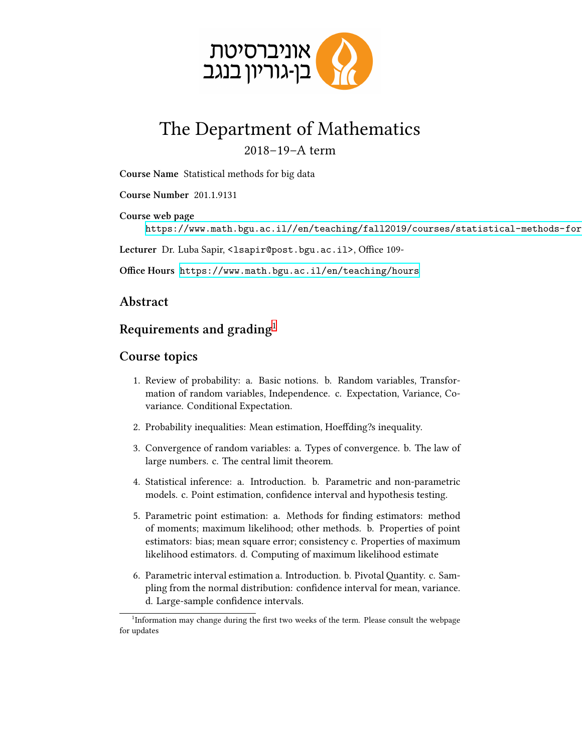

# The Department of Mathematics

### 2018–19–A term

**Course Name** Statistical methods for big data

**Course Number** 201.1.9131

**Course web page** https://www.math.bgu.ac.il//en/teaching/fall2019/courses/statistical-methods-for

Lecturer Dr. Luba Sapir, <lsapir@post.bgu.ac.il>, Office 109-

**Office Hours** <https://www.math.bgu.ac.il/en/teaching/hours>

#### **Abstract**

## **Requirements and grading**[1](#page-0-0)

#### **Course topics**

- 1. Review of probability: a. Basic notions. b. Random variables, Transformation of random variables, Independence. c. Expectation, Variance, Covariance. Conditional Expectation.
- 2. Probability inequalities: Mean estimation, Hoeffding?s inequality.
- 3. Convergence of random variables: a. Types of convergence. b. The law of large numbers. c. The central limit theorem.
- 4. Statistical inference: a. Introduction. b. Parametric and non-parametric models. c. Point estimation, confidence interval and hypothesis testing.
- 5. Parametric point estimation: a. Methods for finding estimators: method of moments; maximum likelihood; other methods. b. Properties of point estimators: bias; mean square error; consistency c. Properties of maximum likelihood estimators. d. Computing of maximum likelihood estimate
- 6. Parametric interval estimation a. Introduction. b. Pivotal Quantity. c. Sampling from the normal distribution: confidence interval for mean, variance. d. Large-sample confidence intervals.

<span id="page-0-0"></span><sup>&</sup>lt;sup>1</sup>Information may change during the first two weeks of the term. Please consult the webpage for updates